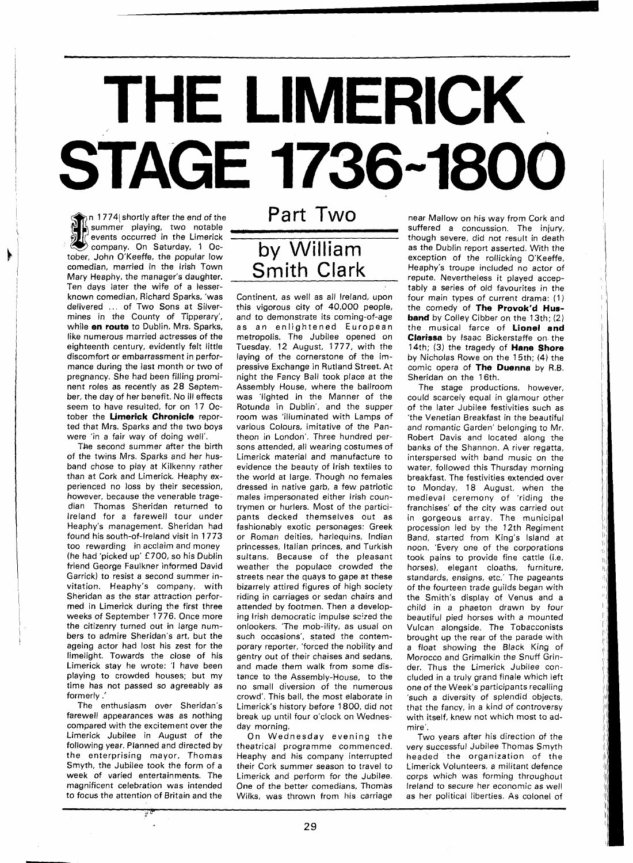## **THE LIMERICK STAGE 1736-1800**

 $P$ an 1774 shortly after the end of the **Part Two** events occurred in the Limerick company. On Saturday, 1 Oc-<br>tober, John O'Keeffe, the popular low comedian, married in the Irish Town<br>Mary Heaphy, the manager's daughter. Ten davs later the wife of a lesserknown comedian, Richard Sparks, 'was delivered ... of Two Sons at Silvermines in the County of Tipperary', while **en route** to Dublin. Mrs. Sparks, like numerous married actresses of the eighteenth century, evidently felt little discomfort or embarrassment in performance during the last month or two of pregnancy. She had been filling prominent roles as recently as 28 September, the day of her benefit. No ill effects seem to have resulted, for on 17 October the **Limerick Chronicle** reported that Mrs. Sparks and the two boys were 'in a fair way of doing well'.

The second summer after the birth of the twins Mrs. Sparks and her husband chose to play at Kilkenny rather than at Cork and Limerick. Heaphy experienced no loss by their secession, however, because the venerable tragedian Thomas Sheridan returned to Ireland for a farewell tour under Heaphy's management. Sheridan had found his south-of-Ireland visit in 1773 too rewarding in acclaim and money (he had 'picked up' **f** 700, so his Dublin friend George Faulkner informed David Garrick) to resist a second summer invitation. Heaphy's company, with Sheridan as the star attraction performed in Limerick during the first three weeks of September 1776. Once more the citizenry turned out in large numbers to admire Sheridan's art, but the ageing actor had lost his zest for the limelight. Towards the close of his Limerick stay he wrote: 'l have been playing to crowded houses; but my time has not passed so agreeably as formerly .'

The enthusiasm over Sheridan's farewell appearances was as nothing compared with the excitement over the Limerick Jubilee in August of the following year. Planned and directed by the enterprising mayor, Thomas Smyth, the Jubilee took the form of a week of varied entertainments. The magnificent celebration was intended to focus the attention of Britain and the

by William Smith Clark

Continent, as well as all Ireland, upon this vigorous city of 40,000 people, and to demonstrate its coming-of-age as an enlightened European metropolis. The Jubilee opened on Tuesday, 12 August, 1777, with the laying of the cornerstone of the impressive Exchange in Rutland Street. At night the Fancy Ball took place at the Assembly House, where the ballroom was 'lighted in the Manner of the Rotunda in Dublin', and the supper room was 'illuminated with Lamps of various Colours, imitative of the Pantheon in London'. Three hundred persons attended, all wearing costumes of Limerick material and manufacture to evidence the beauty of lrish textiles to the world at large. Though no females dressed in native garb, a few patriotic males impersonated either lrish countrymen or hurlers. Most of the participants decked themselves out as fashionably exotic personages: Greek or Roman deities, harlequins, Indian princesses, Italian princes, and Turkish sultans. Because of the pleasant weather the populace crowded the streets near the quays to gape at these bizarrely attired figures of high society riding in carriages or sedan chairs and attended by footmen. Then a developing Irish democratic impulse scized the onlookers. 'The mob-ility, as usual on such occasions', stated the contemporary reporter, 'forced the nobility and gentry out of their chaises and sedans, and made them walk from some distance to the Assembly-House, to the no small diversion of the numerous crowd'. This ball, the most elaborate in Limerick's history before 1800, did not break up until four o'clock on Wednesday morning.

On Wednesday evening the theatrical programme commenced. Heaphy and his company interrupted their Cork summer season to travel to Limerick and perform for the Jubilee. One of the better comedians, Thomas Wilks, was thrown from his carriage

near Mallow on his way from Cork and suffered a concussion. The injury, though severe, did not result in death as the Dublin report asserted. With the exception of the rollicking O'Keeffe, Heaphy's troupe included no actor of repute. Nevertheless it played acceptably a series of old favourites in the four main types of current drama: (1) the comedy of **The Provok'd Husband** by Colley Cibber on the 13th; (2) the musical farce of **Lionel and Clarissa** by lsaac Bickerstaffe on the 14th; (3) the tragedy of **Hane Shore**  by Nicholas Rowe on the 15th; (4) the comic opera of **The Duenna** by R.B. Sheridan on the 16th.

The stage productions, however, could scarcely equal in glamour other of the later Jubilee festivities such as 'the Venetian Breakfast in the beautiful and romantic Garden' belonging to Mr. Robert Davis and located along the banks of the Shannon. A river regatta, interspersed with band music on the water, followed this Thursday morning breakfast. The festivities extended over to Monday, 18 August, when the medieval ceremony of 'riding the franchises' of the city was carried out in gorgeous array. The municipal procession led by the 12th Regiment Band, started from King's Island at noon. 'Every one of the corporations took pains to provide fine cattle (i.e. horses), elegant cloaths, furniture, standards, ensigns, etc.' The pageants of the fourteen trade guilds began with the Smith's display of Venus and a child in a phaeton drawn by four beautiful pied horses with a mounted Vulcan alongside. The Tobacconists brought up the rear of the parade with a float showing the Black King of Morocco and Grimalkin the Snuff Grinder. Thus the Limerick Jubilee concluded in a truly grand finale which left one of the Week's participants recalling 'such a diversity of splendid objects, that the fancy, in a kind of controversy with itself, knew not which most to admire'.

Two years after his direction of the very successful Jubilee Thomas Smyth headed the organization of the Limerick Volunteers, a militant defence corps which was forming throughout Ireland to secure her economic as well as her political liberties. As colonel of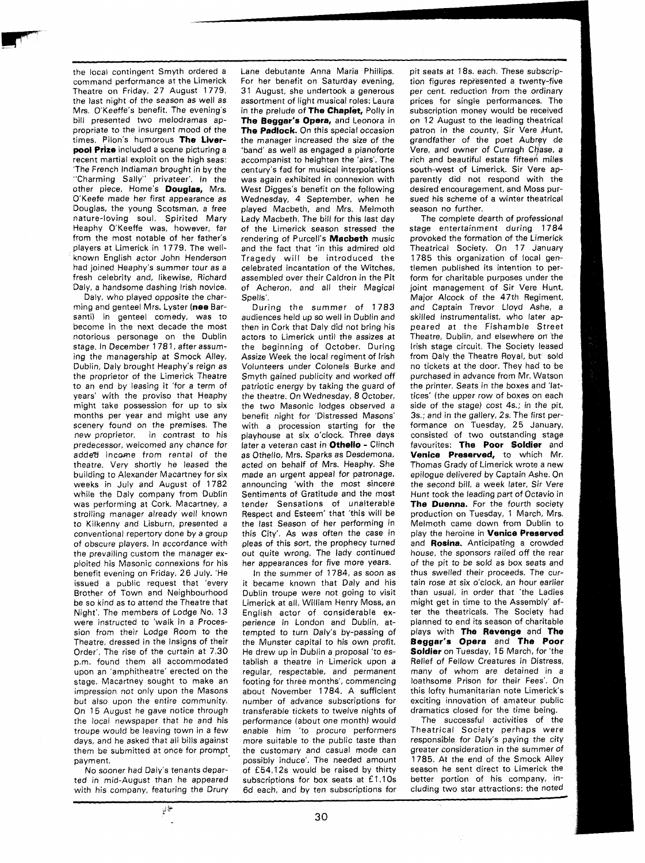the local contingent Smyth ordered a command performance at the Limerick Theatre on Friday, 27 August 1779, the last night of the season as well as Mrs. O'Keeffe's benefit. The evening's bill presented two melodramas appropriate to the insurgent mood of the times. Pilon's humorous **The Liverpool Prize** included a scene picturing a recent martial exploit on the high seas: 'The French lndiaman brought in by the "Charming Sally" privateer'. In the other piece, Home's **Douglas,** Mrs. O'Keefe made her first appearance as Douglas, the young Scotsman, a free nature-loving soul. Spirited Mary Heaphy O'Keeffe was, however, far from the most notable of her father's players at Limerick in 1779. The wellknown English actor John Henderson had joined Heaphy's summer tour as a fresh celebrity and, likewise, Richard Daly, a handsome dashing lrish novice.

Daly, who played opposite the charming and genteel Mrs. Lyster **(nee** Barsanti) in genteel comedy, was to become in the next decade the most notorious personage on the Dublin stage. In December 1 78 1, after assuming the managership at Smock Alley, Dublin, Daly brought Heaphy's reign as the proprietor of the Limerick Theatre to an end by leasing it 'for a term of years' with the proviso that Heaphy might take possession for up to six months per year and might use any scenery found on the premises. The new proprietor, in contrast to his predecessor, welcomed any chance for added income from rental of the theatre. Very shortly he leased the building to Alexander Macartney for six weeks in July and August of 1782 while the Daly company from Dublin was performing at Cork. Macartney, a strolling manager already well known to Kilkenny and Lisburn, presented a conventional repertory done by a group of obscure players. In accordance with the prevailing custom the manager exploited his Masonic connexions for his benefit evening on Friday, 26 July. 'He issued a public request that 'every Brother of Town and Neighbourhood be so kind as to attend the Theatre that Night'. The members of Lodge No. 13 were instructed to 'walk in a Procession from their Lodge Room to the Theatre, dressed in the lnsigns of their Order'. The rise of the curtain at 7.30 p.m. found them all accommodated upon an 'amphitheatre' erected on the stage. Macartney sought to make an impression not only upon the Masons but also upon the entire community. On 15 August he gave notice through the local newspaper that he and his troupe would be leaving town in a few days, and he asked that all bills against them be submitted at once for prompt payment.

No sooner had Daly's tenants departed in mid-August than he appeared with his company, featuring the Drury

 $\frac{1}{2}$ 

Lane debutante Anna Maria Phillips. For her benefit on Saturday evening, 31 August, she undertook a generous assortment of light musical roles: Laura in the prelude of The Chaplet, Polly in **The Beggar's Opera,** and Leonora in **The Padlock.** On this special occasion the manager increased the size of the 'band' as well as engaged a pianoforte accompanist to heighten the 'airs'. The century's fad for musical interpolations was again exhibited in connexion with West Digges's benefit on the following Wednesday, 4 September, when he played Macbeth, and Mrs. Melmoth Lady Macbeth. The bill for this last day of the Limerick season stressed the rendering of Purcell's **Macbeth** music and the fact that 'in this admired old Tragedy will be introduced the celebrated incantation of the Witches, assembled over their Caldron in the Pit of Acheron, and all their Magical Spells'.

During the summer of 1783 audiences held up so well in Dublin and then in Cork that Daly did not bring his actors to Limerick until the assizes at the beginning of October. During Assize Week the local regiment of lrish Volunteers under Colonels Burke and Smyth gained publicity and worked off patriotic energy by taking the guard of the theatre. On Wednesday, 8 October, the two Masonic lodges observed a benefit night for 'Distressed Masons' with a procession starting for the playhouse at six o'clock. Three days later a veteran cast in **Othello** - Clinch as Othello, Mrs. Sparks as Desdemona, acted on behalf of Mrs. Heaphy. She made an urgent appeal for patronage, announcing 'with the most sincere Sentiments of Gratitude and the most tender Sensations of unalterable Respect and Esteem' that 'this will be the last Season of her performing in this City'. As was often the case in pleas of this sort, the prophecy turned out quite wrong. The lady continued her appearances for five more years.

In the summer of 1784, as soon as it became known that Daly and his Dublin troupe were not going to visit Limerick at all, William Henry Moss, an English actor of considerable experience in London and Dublin, attempted to turn Daly's by-passing of the Munster capital to his own profit. He drew up in Dublin a proposal 'to establish a theatre in Limerick upon a regular, respectable, and permanent footing for three months', commencing about November 1784. A sufficient number of advance subscriptions for transferable tickets to twelve nights of performance (about one month) would enable him 'to procure performers more suitable to the public taste than the customary and casual mode can possibly induce'. The needed amount of £54.12s would be raised by thirty subscriptions for box seats at £1.10s 6d each, and by ten subscriptions for pit seats at 18s. each. These subscription figures represented a twenty-five per cent, reduction from the ordinary prices for single performances. The subscription money would be received on 12 August to the leading theatrical patron in the county, Sir Vere ,Hunt, grandfather of the poet Aubrey de Vere, and owner of Curragh Chase, a rich and beautiful estate fifteen miles south-west of Limerick. Sir Vere apparently did not respond with the desired encouragement, and Moss pursued his scheme of a winter theatrical season no further.

The complete dearth of professional stage entertainment during 1784 provoked the formation of the Limerick Theatrical Society. On 17 January 1785 this organization of local gentlemen published its intention to perform for charitable purposes under the joint management of Sir Vere Hunt, Major Alcock of the 47th Regiment, and Captain Trevor Lloyd Ashe, a skilled instrumentalist, who later appeared at the Fishamble Street Theatre, Dublin, and elsewhere on the lrish stage circuit. The Society leased from Daly the Theatre Royal, but sold no tickets at the door. They had to be purchased in advance from Mr. Watson the printer. Seats in the boxes and 'lattices' (the upper row of boxes on each side of the stage) cost 4s.; in the pit, 3s.; and in the gallery, 2s. The first performance on Tuesday, 25 January, consisted of two outstanding stage favourites: **The Poor Soldier** and **Venice Preserved,** to which Mr. Thomas Grady of Limerick wrote a new epilogue delivered by Captain Ashe. On the second bill, a week later, Sir Vere Hunt took the leading part of Octavio in **The Duenna.** For the fourth society production on Tuesday, 1 March, Mrs. Melmoth came down from Dublin to play the heroine in **Venice Preserved**  and **Rosina.** Anticipating a crowded house, the sponsors railed off the rear of the pit to be sold as box seats and thus swelled their proceeds. The curtain rose at six o'clock, an hour earlier than usual, in order that 'the Ladies might get in time to the Assembly' after the theatricals. The Society had planned to end its season of charitable plays with **The Revenge** and **The Beggar's Opera** and **The Poor Soldier** on Tuesday, 15 March, for 'the Relief of Fellow Creatures in Distress, many of whom are detained in a loathsome Prison for their Fees'. On this lofty humanitarian note Limerick's exciting innovation of amateur public dramatics closed for the time being.

The successful activities of the Theatrical Society perhaps were responsible for Daly's paying the city greater consideration in the summer of 1785. At the end of the Smock Alley season he sent direct to Limerick the better portion of his company, including two star attractions: the noted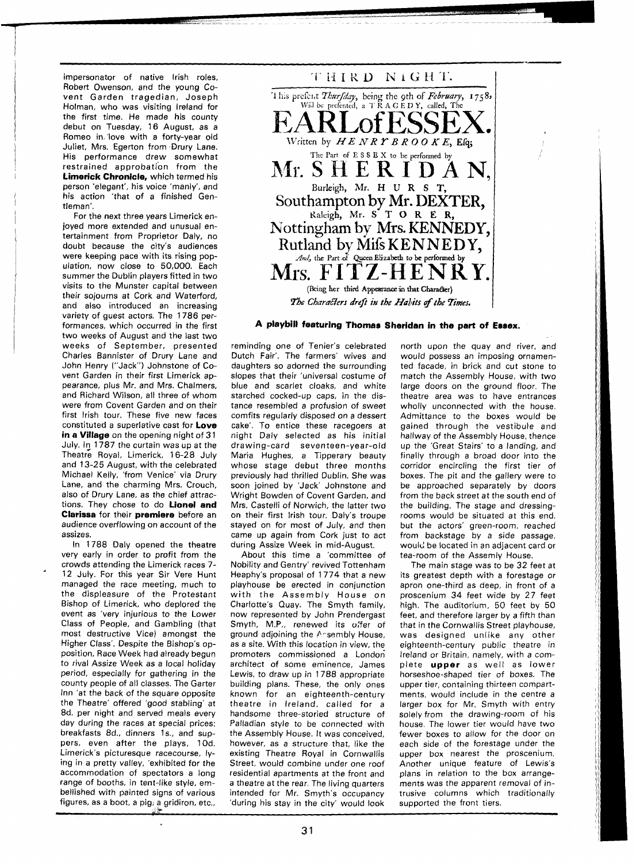impersonator of native lrish roles, Robert Owenson, and the young Covent Garden tragedian, Joseph Holman, who was visiting Ireland for the first time. He made his county debut on Tuesday, 16 August, as a Romeo in love with a forty-year old Juliet, Mrs. Egerton from Drury Lane. His performance drew somewhat restrained approbation from the **Limerick Chronicle,** which termed his person 'elegant', his voice 'manly', and his action 'that of a finished Gentleman'.

For the next three years Limerick enjoyed more extended and unusual entertainment from Proprietor Daly, no doubt because the city's audiences were keeping pace with its rising population, now close to 50,000. Each summer the Dublin players fitted in two visits to the Munster capital between their sojourns at Cork and Waterford, and also introduced an increasing variety of guest actors. The 1786 performances, which occurred in the first two weeks of August and the last two weeks of September, presented Charles Bannister of Drury Lane and John Henry ("Jack") Johnstone of Covent Garden in their first Limerick appearance, plus Mr. and Mrs. Chalmers, and Richard Wilson, all three of whom were from Covent Garden and on their first lrish tour. These five new faces constituted a superlative cast for **Love in a Village** on the opening night of 31 July. In 1787 the curtain was up at the Theatre Royal, Limerick, 16-28 July and 13-25 August, with the celebrated Michael Kelly, 'from Venice' via Drury Lane, and the charming Mrs. Crouch, also of Drury Lane, as the chief attractions. They chose to do **Lionel and Clarissa** for their **premiere** before an audience overflowing on account of the assizes.

In 1788 Daly opened the theatre very early in order to profit from the crowds attending the Limerick races 7- " **12** July. For this year Sir Vere Hunt managed the race meeting, much to the displeasure of the Protestant Bishop of Limerick, who deplored the event as 'very injurious to the Lower Class of People, and Gambling (that most destructive Vice) amongst the Higher Class'. Despite the Bishop's opposition, Race Week had already begun to rival Assize Week as a local holiday period, especially for gathering in the county people of all classes. The Garter Inn 'at the back of the square opposite the Theatre' offered 'good stabling' at 8d. per night and served meals every day during the races at special prices: breakfasts 8d., dinners Is., and suppers, even after the plays, 10d. Limerick's picturesque racecourse, lying in a pretty valley, 'exhibited for the accommodation of spectators a long range of booths, in tent-like style, embellished with painted signs of various figures, as a boot, a pig; a gridiron, etc.,



**A playbill featuring Thomas Sheridan in the part of Essex.** 

reminding one of Tenier's celebrated Dutch Fair'. The farmers' wives and daughters so adorned the surrounding slopes that their 'universal costume of blue and scarlet cloaks, and white starched cocked-up caps, in the distance resembled a profusion of sweet comfits regularly disposed on a dessert cake'. To entice these racegoers at night Daly selected as his initial drawing-card seventeen-year-old Maria Hughes, a Tipperary beauty whose stage debut three months previously had thrilled Dublin. She was soon joined by 'Jack' Johnstone and Wright Bowden of Covent Garden, and Mrs. Castelli of Norwich, the latter two on their first lrish tour. Daly's troupe stayed on for most of July, and then came up again from Cork just to act during Assize Week in mid-August.

About this time a 'committee of Nobility and Gentry' revived Tottenham Heaphy's proposal of 1774 that a new playhouse be erected in conjunction with the Assembly House on Charlotte's Quay. The Smyth family, now represented by John Prendergast Smyth, M.P., renewed its offer of ground adjoining the **Ansembly House**, as a site. With this location in view, the promoters commissioned a London' architect of some eminence, James Lewis, to draw up in 1788 appropriate building plans. These, the only ones known for an eighteenth-century theatre in Ireland, called for a handsome three-storied structure of Palladian style to be connected with the Assembly House. It was conceived, however, as a structure that, like the existing Theatre Royal in Cornwallis Street, would combine under one roof residential apartments at the front and a theatre at the rear. The living quarters intended for Mr. Smyth's occupancy 'during his stay in the city' would look

north upon the quay and river, and would possess an imposing ornamented facade, in brick and cut stone to match the Assembly House, with two large doors on the ground floor. The theatre area was to have entrances wholly unconnected with the house. Admittance to the boxes would be gained through the vestibule and hallway of the Assembly House, thence up the 'Great Stairs' to a landing, and finally through a broad door into the corridor encircling the first tier of boxes. The pit and the gallery were to be approached separately by doors from the back street at the south end of the building. The stage and dressingrooms would be situated at this end, but the actors' green-room, reached from backstage by a side passage, would be located in an adjacent card or tea-room of the Assemly House.

The main stage was to be 32 feet at its greatest depth with a forestage or apron one-third as deep, in front of a proscenium 34 feet wide by 27 feet high. The auditorium, 50 feet by 50 feet, and therefore larger by a fifth than that in the Cornwallis Street playhouse, was designed unlike any other eighteenth-century public theatre in Ireland or Britain, namely, with a complete **upper** as well as lower horseshoe-shaped tier of boxes. The upper tier, containing thirteen compartments, would include in the centre a larger box for Mr. Smyth with entry solely from the drawing-room of his house. The lower tier would have two fewer boxes to allow for the door on each side of the forestage under the upper box nearest the proscenium. Another unique feature of Lewis's plans in relation to the box arrangements was the apparent removal of intrusive columns which traditionally supported the front tiers.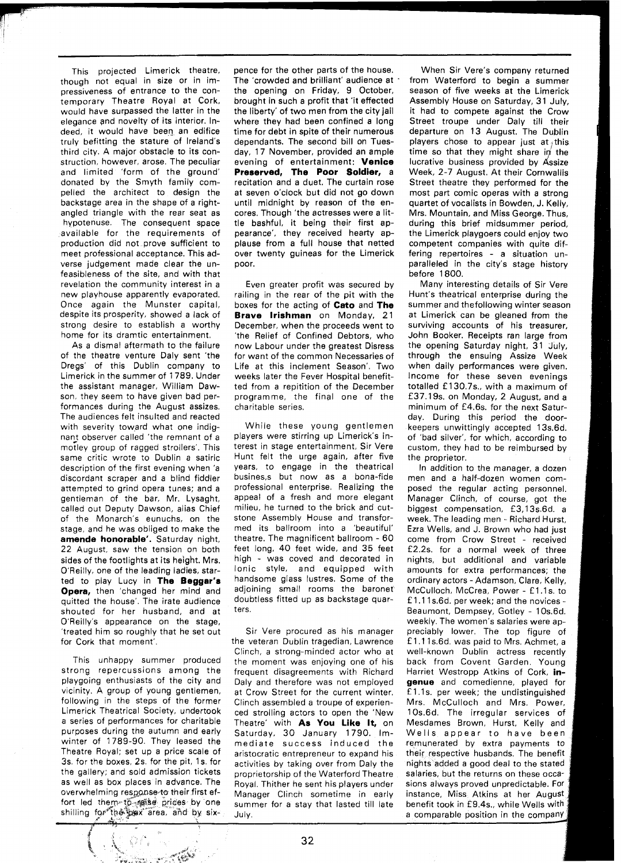This projected Limerick theatre, though not equal in size or in impressiveness of entrance to the contemporary Theatre Royal at Cork, would have surpassed the latter in the elegance gnd novelty of its interior. Indeed, it would have been an edifice truly befitting the stature of Ireland's third city. A major obstacle to its construction, however, arose. The peculiar and limited 'form of the ground' donated by the Smyth family compelled the architect to design the backstage area in the shape of a rightangled triangle with the rear seat as hypotenuse. The consequent space available for the requirements of production did not prove sufficient to meet professional acceptance. This adverse judgement made clear the unfeasibleness of the site, and with that revelation the community interest in a new playhouse apparently evaporated. Once again the Munster capital, despite its prosperity, showed a lack of strong desire to establish a worthy home for its dramtic entertainment.

As a dismal aftermath to the failure of the theatre venture Daly sent 'the Dregs' of this Dublin company to Limerick in the summer of 1789. Under the assistant manager, William Dawson, they seem to have given bad performances during the August assizes. The audiences felt insulted and reacted with severity toward what one indignant observer called 'the remnant of a motley group of ragged strollers'. This same critic wrote to Dublin a satiric description of the first evening when 'a discordant scraper and a blind fiddler attempted to grind opera tunes; and a gentleman of the bar, Mr. Lysaght, called out Deputy Dawson, alias Chief of the Monarch's eunuchs, on the stage, and he was obliged to make the **amende honorable'.** Saturday night, 22 August, saw the tension on both sides of the footlights at its height. Mrs. O'Reilly, one of the leading ladies, started to play Lucy in **The Beggar's Opera,** then 'changed her mind and quitted the house'. The irate audience shouted for her husband, and at O'Reilly's appearance on the stage, 'treated him so roughly that he set out for Cork that moment'.

This unhappy summer produced strong repercussions among the playgoing enthusiasts of the city and vicinity. A group of young gentlemen, following in the steps of the former Limerick Theatrical Society, undertook a series of performances for charitable purposes during the autumn and early winter of 1789-90. They leased the Theatre Royal; set up a price scale of 3s. for the boxes, 2s. for the pit, 1s. for the gallery; and sold admission tickets as well as box places in advance. The overwhelming response-to their first effort led them to raise prices by one shilling for the bex area, and by six-

pence for the other parts of the house. The 'crowded and brilliant' audience at  $\cdot$ the opening on Friday, 9 October, brought in such a profit that 'it effected the liberty' of two men from the city jail where they had been confined a long time for debt in spite of their numerous dependants. The second bill on Tuesday, 17 November, provided an ample evening of entertainment: **Venice Preserved, The Poor Soldier,** a recitation and a duet. The curtain rose at seven o'clock but did not go down until midnight by reason of the encores. Though 'the actresses were a little bashful, it being their first appearance', they received hearty applause from a full house that netted over twenty guineas for the Limerick poor.

Even greater profit was secured by railing in the rear of the pit with the boxes for the acting of **Cato** and **The Brave Irishman** on Monday, 21 December, when the proceeds went to 'the Relief of Confined Debtors, who now Labour under the greatest Disress for want of the common Necessaries of Life at this inclement Season'. Two weeks later the Fever Hospital benefitted from a repitition of the December programme, the final one of the charitable series.

While these young gentlemen players were stirring up Limerick's interest in stage entertainment, Sir Vere Hunt felt the urge again, after five years, to engage in the theatrical busines,s but now as a bona-fide professional enterprise. Realizing the appeal of a fresh and more elegant milieu, he turned to the brick and cutstone Assembly House and transformed its ballroom into a 'beautiful' theatre. The magnificent ballroom - 60 feet long, 40 feet wide, and 35 feet high - was coved and decorated in Ionic style, and equipped with handsome glass lustres. Some of the adjoining small rooms the baronet doubtless fitted up as backstage quarters.

Sir Vere procured as his manager the veteran Dublin tragedian, Lawrence Clinch, a strong-minded actor who at the moment was enjoying one of his frequent disagreements with Richard Daly and therefore was not employed at Crow Street for the current winter. Clinch assembled a troupe of experienced strolling actors to open the 'New Theatre' with **As You Like It,** on Saturday, 30 January 1790. Immediate success induced the aristocratic entrepreneur to expand his activities by taking over from Daly the proprietorship of the Waterford Theatre Royal. Thither he sent his players under Manager Clinch sometime in early summer for a stay that lasted till late July.

When Sir Vere's company returned from Waterford to begin a summer season of five weeks at the Limerick Assembly House on Saturday, 31 July, it had to compete against the Crow Street troupe under Daly till their departure on 13 August. The Dublin players chose to appear just at this time so that they might share in the lucrative business provided by Assize Week, 2-7 August. At their Cornwallis Street theatre they performed for the most part comic operas with a strong quartet of vocalists in Bowden, J. Kelly, Mrs. Mountain, and Miss George. Thus, during this brief midsummer period, the Limerick playgoers could enjoy two competent companies with quite differing repertoires - a situation unparalleled in the city's stage history before 1800.

Many interesting details of Sir Vere Hunt's theatrical enterprise during the summer and thefollowing winter season at Limerick can be gleaned from the surviving accounts of his treasurer, John Booker. Receipts ran large from the opening Saturday night, 31 July, through the ensuing Assize Week when daily performances were given. Income for these seven evenings totalled £130.7s., with a maximum of f 37.1 9s. on Monday, 2 August, and a minimum of £4.6s. for the next Saturday. During this period the doorkeepers unwittingly accepted 13s.6d. of 'bad silver', for which, according to custom, they had to be reimbursed by the proprietor.

In addition to the manager, a dozen men and a half-dozen women composed the regular acting personnel. Manager Clinch, of course, got the biggest compensation, £3,13s.6d. a week. The leading men - Richard Hurst, Ezra Wells, and J. Brown who had just come from Crow Street - received £2.2s. for a normal week of three nights, but additional and variable amounts for extra performances; the ordinary actors - Adamson, Clare, Kelly, McCulloch, McCrea, Power - £1.1s, to f l .l l s.6d. per week; and the novices - Beaumont, Dempsey, Gotley - 10s.6d. weekly. The women's salaries were appreciably lower. The top figure of f l .l ls.6d. was paid to Mrs. Achmet, a well-known Dublin actress recently back from Covent Garden. Young Harriet Westropp Atkins of Cork, **ingenue** and comedienne, played for £1.1s. per week; the undistinguished Mrs. McCulloch and Mrs. Power, 10s.6d. The irregular services of Mesdames Brown, Hurst, Kelly and Wells appear to have been remunerated by extra payments to their respective husbands. The benefit nights added a good deal to the stated salaries, but the returns on these occasions always proved unpredictable. For instance, Miss Atkins at her August benefit took in £9.4s., while Wells with a comparable position in the company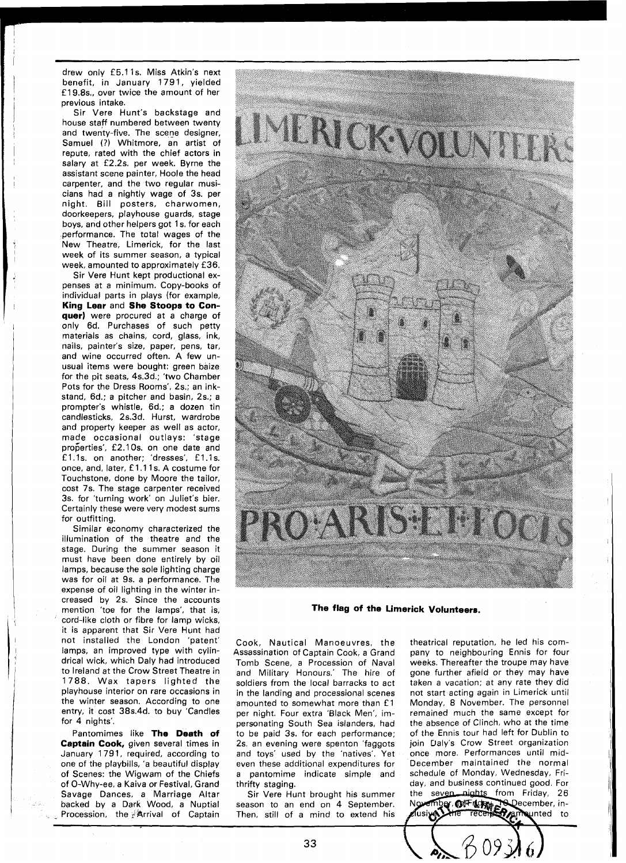drew only £5.1 1s. Miss Atkin's next benefit, in January 1791, yielded £19.8s., over twice the amount of her previous intake.

Sir Vere Hunt's backstage and house staff numbered between twenty and twenty-five. The scene designer, Samuel (?) Whitmore, an artist of repute, rated with the chief actors in salary at £2.2s. per week. Byrne the assistant scene painter, Hoole the head carpenter, and the two regular musicians had a nightly wage of 3s. per night. Bill posters, charwomen, doorkeepers, playhouse guards, stage boys, and other helpers got 1s, for each performance. The total wages of the New Theatre, Limerick, for the last week of its summer season, a typical week, amounted to approximately £36.

Sir Vere Hunt kept productional expenses at a minimum. Copy-books of individual parts in plays (for example, **King Lear** and **She Stoops to Conquer)** were procured at a charge of only 6d. Purchases of such petty materials as chains, cord, glass, ink, nails, painter's size, paper, pens, tar, and wine occurred often. A few unusual items were bought: green baize for the pit seats, 4s.3d.; 'two Chamber Pots for the Dress Rooms', 2s.; an inkstand, 6d.; a pitcher and basin, 2s.; a prompter's whistle, 6d.; a dozen tin candlesticks, 2s.3d. Hurst, wardrobe and property keeper as well as actor, made occasional outlays: 'stage properties', £2.10s. on one date and <br>£1.1s. on another; 'dresses', £1.1s. fl.1s. on another; 'dresses', fl.1s. once, and, later, fl.11s. A costume for Touchstone, done by Moore the tailor, cost 7s. The stage carpenter received 3s. for 'turning work' on Juliet's bier. Certainly these were very modest sums for outfitting.

Similar economy characterized the illumination of the theatre and the stage. During the summer season it must have been done entirely by oil lamps, because the sole lighting charge was for oil at 9s. a performance. The expense of oil lighting in the winter increased by 2s. Since the accounts mention 'toe for the lamps', that is, cord-like cloth or fibre for lamp wicks, it is apparent that Sir Vere Hunt had not installed the London 'patent' lamps, an improved type with cylindrical wick, which Daly had introduced to Ireland at the Crow Street Theatre in 1788. Wax tapers lighted the playhouse interior on rare occasions in the winter season. According to one entry, it cost 38s.4d. to buy 'Candles for 4 nights'.

Pantomimes like **The Death of Captain Cook,** given several times in January 1791, required, according to one of the playbills, 'a beautiful display of Scenes: the Wigwam of the Chiefs of 0-Why-ee, a Kaiva or Festival, Grand Savage Dances, a Marriage Altar backed by a Dark Wood, a Nuptial Procession, the Arrival of Captain



**The flag of the Limerick Volunteers.** 

Cook, Nautical Manoeuvres, the Assassination of Captain Cook, a Grand Tomb Scene, a Procession of Naval and Military Honours.' The hire of soldiers from the local barracks to act in the landing and processional scenes amounted to somewhat more than <sup>f</sup>l per night. Four extra 'Black Men', impersonating South Sea islanders, had to be paid 3s. for each performance; 2s. an evening were spenton 'faggots and toys' used by the 'natives'. Yet even these additional expenditures for a pantomime indicate simple and

Sir Vere Hunt brought his summer season to an end on 4 September. Then, still of a mind to extend his

theatrical reputation, he led his company to neighbouring Ennis for four weeks. Thereafter the troupe may have gone further afield or they may have taken a vacation; at any rate they did not start acting again in Limerick until Monday, 8 November. The personnel remained much the same except for the absence of Clinch, who at the time of the Ennis tour had left for Dublin to join Daly's Crow Street organization once more. Performances until mid-December maintained the normal schedule of Monday, Wednesday, Frithrifty staging. day, and business continued good. For<br>Sir Vere Hunt brought his summer the seven nights from Friday, 26<br>season to an end on 4 September. Now make the December, in-<br> $\frac{1}{2}$  and to extend his plusive the r Now ∕fusiye

 $609$ sh 6.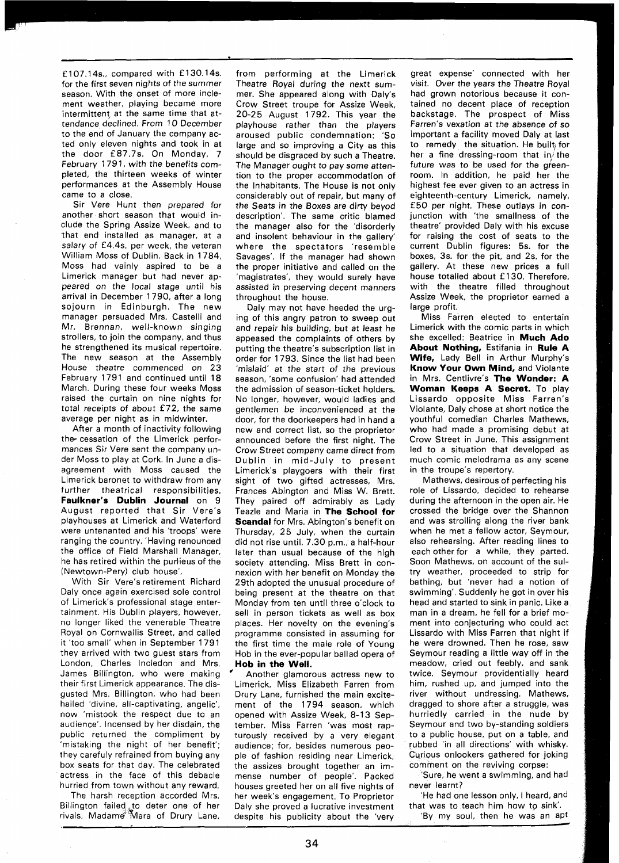**<sup>f</sup>**lO7.l4s., compared with f 130.14s. for the first seven nights of the summer season. With the onset of more inclement weather, playing became more intermittent at the same time that attendance declined. From 10 December to the end of January the company acted only eleven nights and took in at the door £87.7s. On Monday, 7 February 1791, with the benefits completed, the thirteen weeks of winter performances at the Assembly House came to a close.

Sir Vere Hunt then prepared for another short season that would include the Spring Assize Week, and to that end installed as manager, at a salary of £4.4s, per week, the veteran William Moss of Dublin. Back in 1784, Moss had vainly aspired to be a Limerick manager but had never appeared on the local stage until his arrival in December 1790, after a long sojourn in Edinburgh. The new manager persuaded Mrs. Castelli and Mr. Brennan, well-known singing strollers, to join the company, and thus he strengthened its musical repertoire. The new season at the Assembly House theatre commenced on 23 February 1791 and continued until 18 March. During these four weeks Moss raised the curtain on nine nights for total receipts of about £72, the same average per night as in midwinter.

After a month of inactivity following the- cessation of the Limerick performances Sir Vere sent the company under Moss to play at Cork. In June a disagreement with Moss caused the Limerick baronet to withdraw from any further theatrical responsibilities. **Faulkner's Dublin Journal** on **9**  August reported that Sir Vere's playhouses at Limerick and Waterford were untenanted and his 'troops' were ranging the country. 'Having renounced the office of Field Marshall Manager, he has retired within the purlieus of the (Newtown-Pery) club house'.

With Sir Vere's retirement Richard Daly once again exercised sole control of Limerick's professional stage entertainment. His Dublin players, however, no longer liked the venerable Theatre Royal on Cornwallis Street, and called it 'too small' when in September 1791 they arrived with two guest stars from London, Charles lncledon and Mrs. James Billington, who were making their first Limerick appearance. The disgusted Mrs. Billington, who had been hailed 'divine, all-captivating, angelic', now 'mistook the respect due to an audience', Incensed by her disdain, the public returned the compliment by 'mistaking the night of her benefit'; they carefuly refrained from buying any box seats for that day. The celebrated actress in the face of this debacle hurried from town without any reward.

The harsh reception accorded Mrs. Billington failed to deter one of her rivals, Madame "Mara of Drury Lane, from performing at the Limerick Theatre Royal during the nextt summer. She appeared along with Daly's Crow Street troupe for Assize Week, 20-25 August 1792. This year the playhouse rather than the players aroused public condemnation: 'So large and so improving a City as this should be disgraced by such a Theatre. The Manager ought to pay some attention to the proper accommodation of the Inhabitants. The House is not only considerably out of repair, but many of the Seats in the Boxes are dirty beyod description'. The same critic blamed the manager also for the 'disorderly and insolent behaviour in the gallery' where the spectators 'resemble Savages'. If the manager had shown the proper initiative and called on the 'magistrates', they would surely have assisted in preserving decent manners throughout the house.

Daly may not have heeded the urging of this angry patron to sweep out and repair his building, but at least he appeased the complaints of others by putting the theatre's subscription list in order for 1793. Since the list had been 'mislaid' at the start of the previous season, 'some confusion' had attended the admission of season-ticket holders. No longer, however, would ladies and gentlemen be inconvenienced at the door, for the doorkeepers had in hand a new and correct list, so the proprietor announced before the first night. The Crow Street company came direct from Dublin in mid-July to present Limerick's playgoers with their first sight of two gifted actresses, Mrs. Frances Abington and Miss W. Brett. They paired off admirably as Lady Teazle and Maria in **The School for Scandal** for Mrs. Abington's benefit on Thursday, 25 July, when the curtain did not rise until. 7.30 p.m., a half-hour later than usual because of the high society attending. Miss Brett in connexion with her benefit on Monday the 29th adopted the unusual procedure of being present at the theatre on that Monday from ten until three o'clock to sell in person tickets as well as box places. Her novelty on the evening's programme consisted in assuming for the first time the male role of Young Hob in the ever-popular ballad opera of **Hob in the Well.** 

Another glamorous actress new to Limerick, Miss Elizabeth Farren from Drury Lane, furnished the main excitement of the 1794 season, which opened with Assize Week, 8-13 September. Miss Farren 'was most rapturously received by a very elegant audience; for, besides numerous people of fashion residing near Limerick, the assizes brought together an immense number of people'. Packed houses greeted her on all five nights of her week's engagement. To Proprietor Daly she proved a lucrative investment despite his publicity about the 'very

great expense' connected with her visit. Over the years the Theatre Royal had grown notorious because it contained no decent place of reception backstage. The prospect of Miss Farren's vexation at the absence of so important a facility moved Daly at last to remedy the situation. He built for her a fine dressing-room that in the future was to be used for the greenroom. In addition, he paid her the highest fee ever given to an actress in eighteenth-century Limerick, namely, £50 per night. These outlays in conjunction with 'the smallness of the theatre' provided Daly with his excuse for raising the cost of seats to the current Dublin figures: 5s. for the boxes, 3s. for the pit, and 2s. for the gallery. At these new prices a full house totalled about £130. Therefore, with the theatre filled throughout Assize Week, the proprietor earned a large profit.

Miss Farren elected to entertain Limerick with the comic parts in which she excelled: Beatrice in **Much Ado About Nothing,** Estifania in **Rule A Wife,** Lady Bell in Arthur Murphy's **Know Your Own Mind,** and Violante in Mrs. Centlivre's **The Wonder: A Woman Keeps A Secret.** To play Lissardo opposite Miss Farren's Violante, Daly chose at short notice the youthful comedian Charles Mathews, who had made a promising debut at Crow Street in June. This assignment led to a situation that developed as much comic melodrama as any scene in the troupe's repertory.

Mathews, desirous of perfecting his role of Lissardo, decided to rehearse during the afternoon in the open air. He crossed the bridge over the Shannon and was strolling along the river bank when he met a fellow actor, Seymour, also rehearsing. After reading lines to each other for a while, they parted. Soon Mathews, on account of the sultry weather, proceeded to strip for bathing, but 'never had a notion of swimming'. Suddenly he got in over his head and started to sink in panic. Like a man in a dream, he fell for a brief moment into conjecturing who could act Lissardo with Miss Farren that night if he were drowned. Then he rose, saw Seymour reading a little way off in the meadow, cried out feebly, and sank twice. Seymour providentially heard him, rushed up, and jumped into the river without undressing. Mathews, dragged to shore after a struggle, was hurriedly carried in the nude by Seymour and two by-standing soldiers to a public house, put on a table, and rubbed 'in all directions' with whisky. Curious onlookers gathered for joking comment on the reviving corpse:

'Sure, he went a swimming, and had never learnt?

'He had one lesson only, I heard, and that was to teach him how to sink'. 'By my soul, then he was an apt